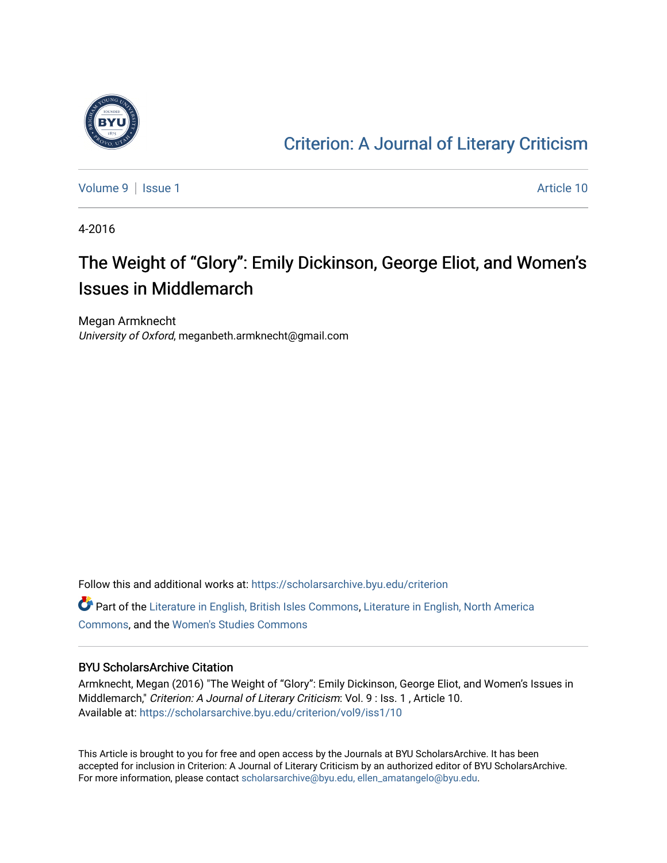

### [Criterion: A Journal of Literary Criticism](https://scholarsarchive.byu.edu/criterion)

[Volume 9](https://scholarsarchive.byu.edu/criterion/vol9) | [Issue 1](https://scholarsarchive.byu.edu/criterion/vol9/iss1) Article 10

4-2016

### The Weight of "Glory": Emily Dickinson, George Eliot, and Women's Issues in Middlemarch

Megan Armknecht University of Oxford, meganbeth.armknecht@gmail.com

Follow this and additional works at: [https://scholarsarchive.byu.edu/criterion](https://scholarsarchive.byu.edu/criterion?utm_source=scholarsarchive.byu.edu%2Fcriterion%2Fvol9%2Fiss1%2F10&utm_medium=PDF&utm_campaign=PDFCoverPages)  Part of the [Literature in English, British Isles Commons](http://network.bepress.com/hgg/discipline/456?utm_source=scholarsarchive.byu.edu%2Fcriterion%2Fvol9%2Fiss1%2F10&utm_medium=PDF&utm_campaign=PDFCoverPages), [Literature in English, North America](http://network.bepress.com/hgg/discipline/458?utm_source=scholarsarchive.byu.edu%2Fcriterion%2Fvol9%2Fiss1%2F10&utm_medium=PDF&utm_campaign=PDFCoverPages)  [Commons](http://network.bepress.com/hgg/discipline/458?utm_source=scholarsarchive.byu.edu%2Fcriterion%2Fvol9%2Fiss1%2F10&utm_medium=PDF&utm_campaign=PDFCoverPages), and the [Women's Studies Commons](http://network.bepress.com/hgg/discipline/561?utm_source=scholarsarchive.byu.edu%2Fcriterion%2Fvol9%2Fiss1%2F10&utm_medium=PDF&utm_campaign=PDFCoverPages)

#### BYU ScholarsArchive Citation

Armknecht, Megan (2016) "The Weight of "Glory": Emily Dickinson, George Eliot, and Women's Issues in Middlemarch," Criterion: A Journal of Literary Criticism: Vol. 9 : Iss. 1, Article 10. Available at: [https://scholarsarchive.byu.edu/criterion/vol9/iss1/10](https://scholarsarchive.byu.edu/criterion/vol9/iss1/10?utm_source=scholarsarchive.byu.edu%2Fcriterion%2Fvol9%2Fiss1%2F10&utm_medium=PDF&utm_campaign=PDFCoverPages)

This Article is brought to you for free and open access by the Journals at BYU ScholarsArchive. It has been accepted for inclusion in Criterion: A Journal of Literary Criticism by an authorized editor of BYU ScholarsArchive. For more information, please contact [scholarsarchive@byu.edu, ellen\\_amatangelo@byu.edu](mailto:scholarsarchive@byu.edu,%20ellen_amatangelo@byu.edu).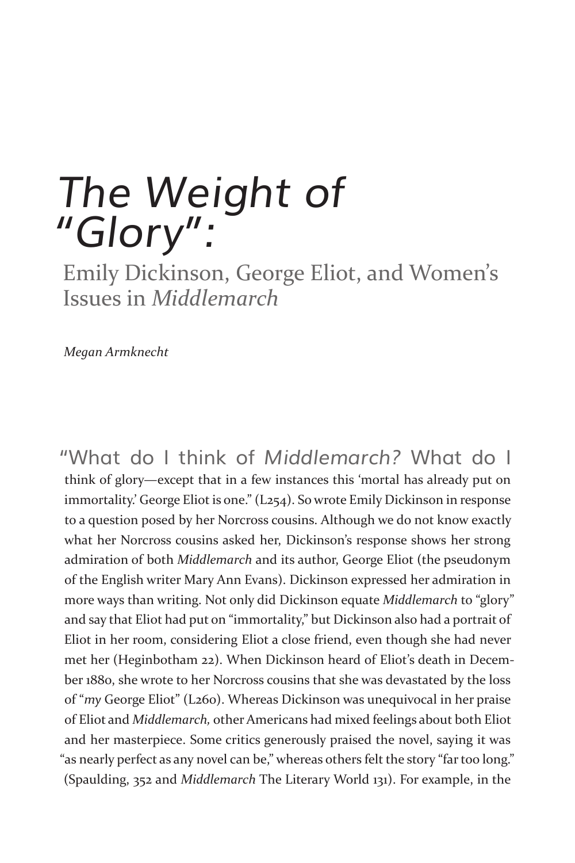# *The Weight of "Glory":*

Emily Dickinson, George Eliot, and Women's Issues in *Middlemarch* 

*Megan Armknecht*

"What do I think of *Middlemarch?* What do I think of glory—except that in a few instances this 'mortal has already put on immortality.' George Eliot is one." (L254). So wrote Emily Dickinson in response to a question posed by her Norcross cousins. Although we do not know exactly what her Norcross cousins asked her, Dickinson's response shows her strong admiration of both *Middlemarch* and its author, George Eliot (the pseudonym of the English writer Mary Ann Evans). Dickinson expressed her admiration in more ways than writing. Not only did Dickinson equate *Middlemarch* to "glory" and say that Eliot had put on "immortality," but Dickinson also had a portrait of Eliot in her room, considering Eliot a close friend, even though she had never met her (Heginbotham 22). When Dickinson heard of Eliot's death in December 1880, she wrote to her Norcross cousins that she was devastated by the loss of "*my* George Eliot" (L260). Whereas Dickinson was unequivocal in her praise of Eliot and *Middlemarch,* other Americans had mixed feelings about both Eliot and her masterpiece. Some critics generously praised the novel, saying it was "as nearly perfect as any novel can be," whereas others felt the story "far too long." (Spaulding, 352 and *Middlemarch* The Literary World 131). For example, in the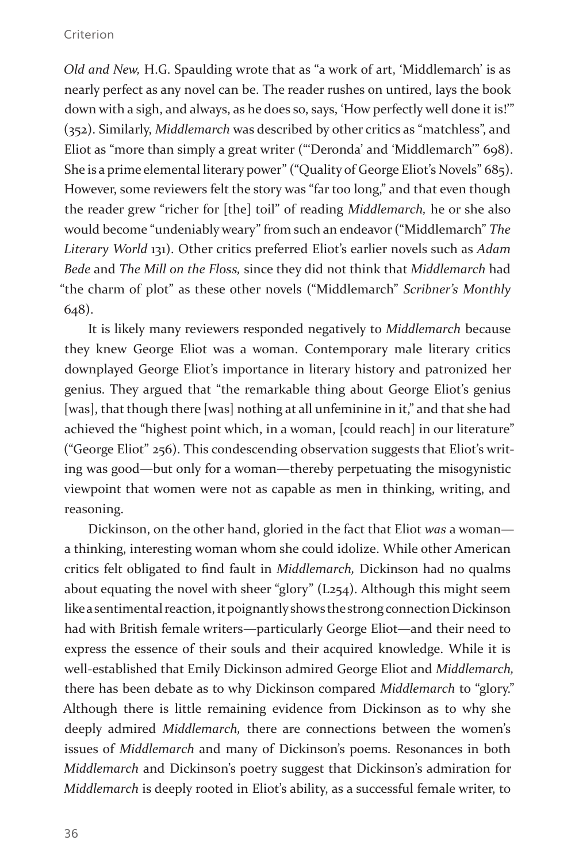#### Criterion

*Old and New,* H.G. Spaulding wrote that as "a work of art, 'Middlemarch' is as nearly perfect as any novel can be. The reader rushes on untired, lays the book down with a sigh, and always, as he does so, says, 'How perfectly well done it is!'" (352). Similarly, *Middlemarch* was described by other critics as "matchless", and Eliot as "more than simply a great writer ("'Deronda' and 'Middlemarch'" 698). She is a prime elemental literary power" ("Quality of George Eliot's Novels" 685). However, some reviewers felt the story was "far too long," and that even though the reader grew "richer for [the] toil" of reading *Middlemarch,* he or she also would become "undeniably weary" from such an endeavor ("Middlemarch" *The Literary World* 131). Other critics preferred Eliot's earlier novels such as *Adam Bede* and *The Mill on the Floss,* since they did not think that *Middlemarch* had "the charm of plot" as these other novels ("Middlemarch" *Scribner's Monthly*  648).

It is likely many reviewers responded negatively to *Middlemarch* because they knew George Eliot was a woman. Contemporary male literary critics downplayed George Eliot's importance in literary history and patronized her genius. They argued that "the remarkable thing about George Eliot's genius [was], that though there [was] nothing at all unfeminine in it," and that she had achieved the "highest point which, in a woman, [could reach] in our literature" ("George Eliot" 256). This condescending observation suggests that Eliot's writing was good—but only for a woman—thereby perpetuating the misogynistic viewpoint that women were not as capable as men in thinking, writing, and reasoning.

Dickinson, on the other hand, gloried in the fact that Eliot *was* a woman a thinking, interesting woman whom she could idolize. While other American critics felt obligated to find fault in *Middlemarch,* Dickinson had no qualms about equating the novel with sheer "glory" (L254). Although this might seem like a sentimental reaction, it poignantly shows the strong connection Dickinson had with British female writers—particularly George Eliot—and their need to express the essence of their souls and their acquired knowledge. While it is well-established that Emily Dickinson admired George Eliot and *Middlemarch,*  there has been debate as to why Dickinson compared *Middlemarch* to "glory." Although there is little remaining evidence from Dickinson as to why she deeply admired *Middlemarch,* there are connections between the women's issues of *Middlemarch* and many of Dickinson's poems. Resonances in both *Middlemarch* and Dickinson's poetry suggest that Dickinson's admiration for *Middlemarch* is deeply rooted in Eliot's ability, as a successful female writer, to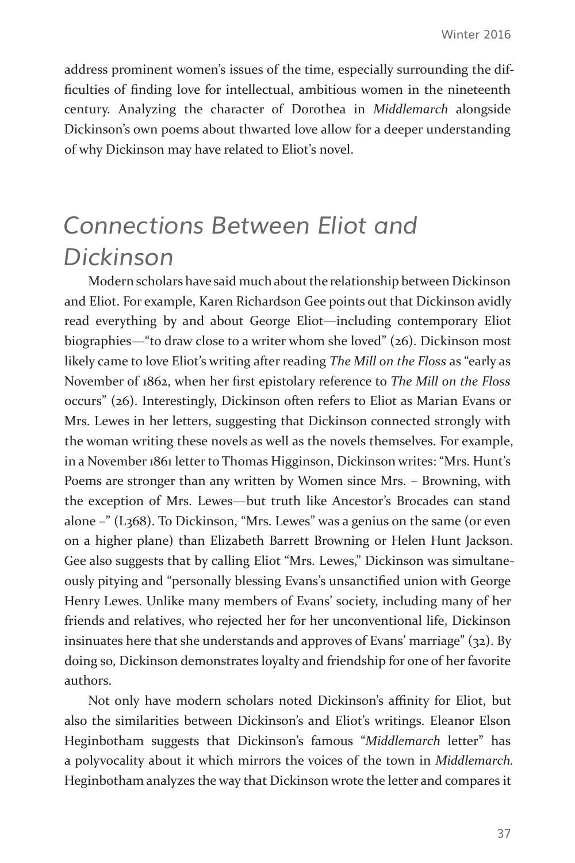address prominent women's issues of the time, especially surrounding the difficulties of finding love for intellectual, ambitious women in the nineteenth century. Analyzing the character of Dorothea in *Middlemarch* alongside Dickinson's own poems about thwarted love allow for a deeper understanding of why Dickinson may have related to Eliot's novel.

### *Connections Between Eliot and Dickinson*

Modern scholars have said much about the relationship between Dickinson and Eliot. For example, Karen Richardson Gee points out that Dickinson avidly read everything by and about George Eliot—including contemporary Eliot biographies—"to draw close to a writer whom she loved" (26). Dickinson most likely came to love Eliot's writing after reading *The Mill on the Floss* as "early as November of 1862, when her first epistolary reference to *The Mill on the Floss*  occurs" (26). Interestingly, Dickinson often refers to Eliot as Marian Evans or Mrs. Lewes in her letters, suggesting that Dickinson connected strongly with the woman writing these novels as well as the novels themselves. For example, in a November 1861 letter to Thomas Higginson, Dickinson writes: "Mrs. Hunt's Poems are stronger than any written by Women since Mrs. – Browning, with the exception of Mrs. Lewes—but truth like Ancestor's Brocades can stand alone –" (L368). To Dickinson, "Mrs. Lewes" was a genius on the same (or even on a higher plane) than Elizabeth Barrett Browning or Helen Hunt Jackson. Gee also suggests that by calling Eliot "Mrs. Lewes," Dickinson was simultaneously pitying and "personally blessing Evans's unsanctified union with George Henry Lewes. Unlike many members of Evans' society, including many of her friends and relatives, who rejected her for her unconventional life, Dickinson insinuates here that she understands and approves of Evans' marriage" (32). By doing so, Dickinson demonstrates loyalty and friendship for one of her favorite authors.

Not only have modern scholars noted Dickinson's affinity for Eliot, but also the similarities between Dickinson's and Eliot's writings. Eleanor Elson Heginbotham suggests that Dickinson's famous "*Middlemarch* letter" has a polyvocality about it which mirrors the voices of the town in *Middlemarch.*  Heginbotham analyzes the way that Dickinson wrote the letter and compares it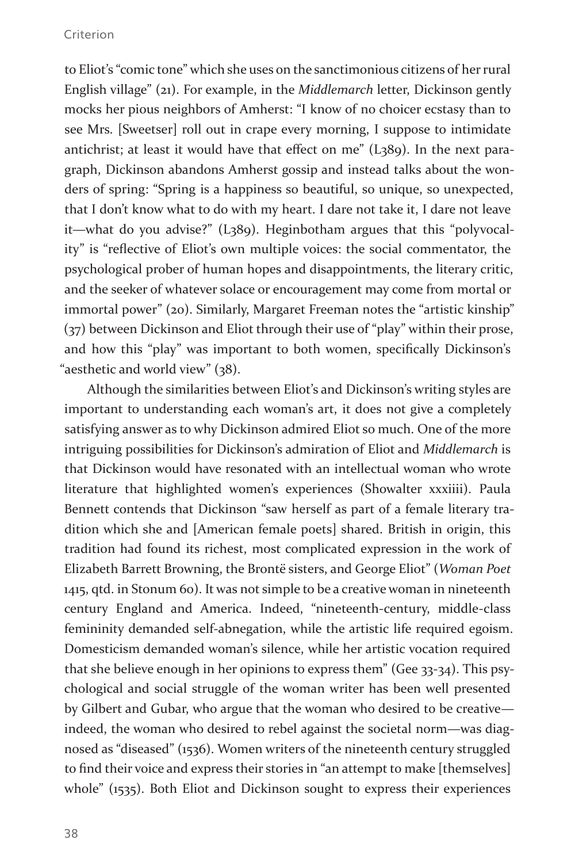to Eliot's "comic tone" which she uses on the sanctimonious citizens of her rural English village" (21). For example, in the *Middlemarch* letter, Dickinson gently mocks her pious neighbors of Amherst: "I know of no choicer ecstasy than to see Mrs. [Sweetser] roll out in crape every morning, I suppose to intimidate antichrist; at least it would have that effect on me" (L389). In the next paragraph, Dickinson abandons Amherst gossip and instead talks about the wonders of spring: "Spring is a happiness so beautiful, so unique, so unexpected, that I don't know what to do with my heart. I dare not take it, I dare not leave it—what do you advise?" (L389). Heginbotham argues that this "polyvocality" is "reflective of Eliot's own multiple voices: the social commentator, the psychological prober of human hopes and disappointments, the literary critic, and the seeker of whatever solace or encouragement may come from mortal or immortal power" (20). Similarly, Margaret Freeman notes the "artistic kinship" (37) between Dickinson and Eliot through their use of "play" within their prose, and how this "play" was important to both women, specifically Dickinson's "aesthetic and world view" (38).

Although the similarities between Eliot's and Dickinson's writing styles are important to understanding each woman's art, it does not give a completely satisfying answer as to why Dickinson admired Eliot so much. One of the more intriguing possibilities for Dickinson's admiration of Eliot and *Middlemarch* is that Dickinson would have resonated with an intellectual woman who wrote literature that highlighted women's experiences (Showalter xxxiiii). Paula Bennett contends that Dickinson "saw herself as part of a female literary tradition which she and [American female poets] shared. British in origin, this tradition had found its richest, most complicated expression in the work of Elizabeth Barrett Browning, the Brontë sisters, and George Eliot" (*Woman Poet*  1415, qtd. in Stonum 60). It was not simple to be a creative woman in nineteenth century England and America. Indeed, "nineteenth-century, middle-class femininity demanded self-abnegation, while the artistic life required egoism. Domesticism demanded woman's silence, while her artistic vocation required that she believe enough in her opinions to express them" (Gee 33-34). This psychological and social struggle of the woman writer has been well presented by Gilbert and Gubar, who argue that the woman who desired to be creative indeed, the woman who desired to rebel against the societal norm—was diagnosed as "diseased" (1536). Women writers of the nineteenth century struggled to find their voice and express their stories in "an attempt to make [themselves] whole" (1535). Both Eliot and Dickinson sought to express their experiences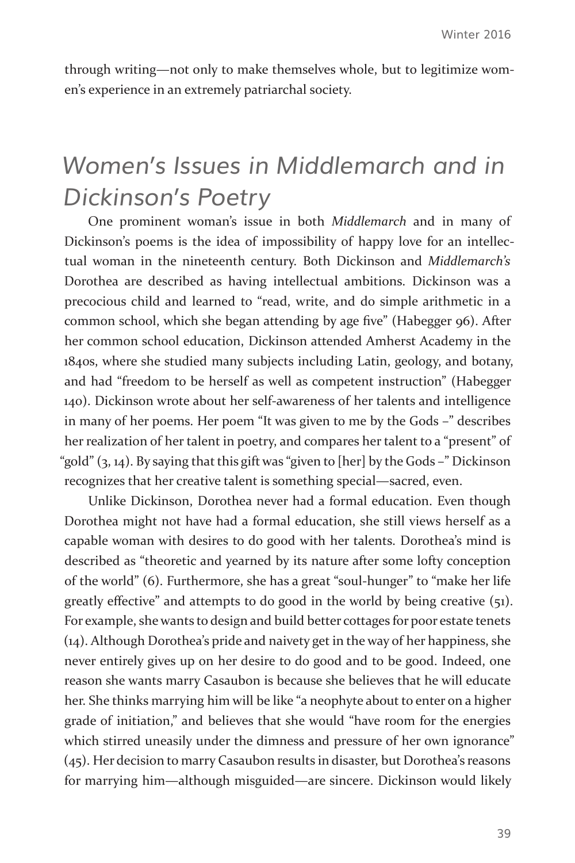through writing—not only to make themselves whole, but to legitimize women's experience in an extremely patriarchal society.

### *Women's Issues in Middlemarch and in Dickinson's Poetry*

One prominent woman's issue in both *Middlemarch* and in many of Dickinson's poems is the idea of impossibility of happy love for an intellectual woman in the nineteenth century. Both Dickinson and *Middlemarch's*  Dorothea are described as having intellectual ambitions. Dickinson was a precocious child and learned to "read, write, and do simple arithmetic in a common school, which she began attending by age five" (Habegger 96). After her common school education, Dickinson attended Amherst Academy in the 1840s, where she studied many subjects including Latin, geology, and botany, and had "freedom to be herself as well as competent instruction" (Habegger 140). Dickinson wrote about her self-awareness of her talents and intelligence in many of her poems. Her poem "It was given to me by the Gods –" describes her realization of her talent in poetry, and compares her talent to a "present" of "gold" (3, 14). By saying that this gift was "given to [her] by the Gods –" Dickinson recognizes that her creative talent is something special—sacred, even.

Unlike Dickinson, Dorothea never had a formal education. Even though Dorothea might not have had a formal education, she still views herself as a capable woman with desires to do good with her talents. Dorothea's mind is described as "theoretic and yearned by its nature after some lofty conception of the world" (6). Furthermore, she has a great "soul-hunger" to "make her life greatly effective" and attempts to do good in the world by being creative (51). For example, she wants to design and build better cottages for poor estate tenets (14). Although Dorothea's pride and naivety get in the way of her happiness, she never entirely gives up on her desire to do good and to be good. Indeed, one reason she wants marry Casaubon is because she believes that he will educate her. She thinks marrying him will be like "a neophyte about to enter on a higher grade of initiation," and believes that she would "have room for the energies which stirred uneasily under the dimness and pressure of her own ignorance" (45). Her decision to marry Casaubon results in disaster, but Dorothea's reasons for marrying him—although misguided—are sincere. Dickinson would likely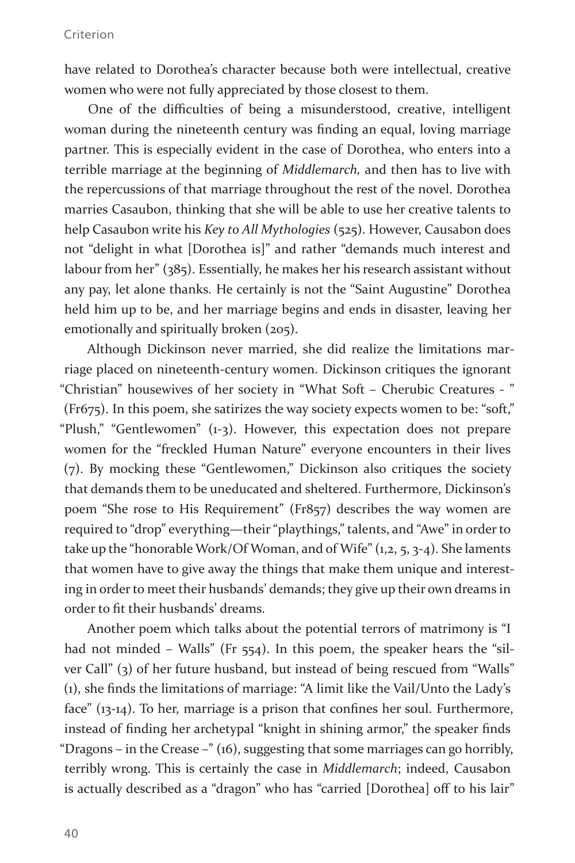have related to Dorothea's character because both were intellectual, creative women who were not fully appreciated by those closest to them.

One of the difficulties of being a misunderstood, creative, intelligent woman during the nineteenth century was finding an equal, loving marriage partner. This is especially evident in the case of Dorothea, who enters into a terrible marriage at the beginning of *Middlemarch,* and then has to live with the repercussions of that marriage throughout the rest of the novel. Dorothea marries Casaubon, thinking that she will be able to use her creative talents to help Casaubon write his *Key to All Mythologies* (525). However, Causabon does not "delight in what [Dorothea is]" and rather "demands much interest and labour from her" (385). Essentially, he makes her his research assistant without any pay, let alone thanks. He certainly is not the "Saint Augustine" Dorothea held him up to be, and her marriage begins and ends in disaster, leaving her emotionally and spiritually broken (205).

Although Dickinson never married, she did realize the limitations marriage placed on nineteenth-century women. Dickinson critiques the ignorant "Christian" housewives of her society in "What Soft – Cherubic Creatures - " (Fr675). In this poem, she satirizes the way society expects women to be: "soft," "Plush," "Gentlewomen" (1-3). However, this expectation does not prepare women for the "freckled Human Nature" everyone encounters in their lives (7). By mocking these "Gentlewomen," Dickinson also critiques the society that demands them to be uneducated and sheltered. Furthermore, Dickinson's poem "She rose to His Requirement" (Fr857) describes the way women are required to "drop" everything—their "playthings," talents, and "Awe" in order to take up the "honorable Work/Of Woman, and of Wife" (1,2, 5, 3-4). She laments that women have to give away the things that make them unique and interesting in order to meet their husbands' demands; they give up their own dreams in order to fit their husbands' dreams.

Another poem which talks about the potential terrors of matrimony is "I had not minded – Walls" (Fr 554). In this poem, the speaker hears the "silver Call" (3) of her future husband, but instead of being rescued from "Walls" (1), she finds the limitations of marriage: "A limit like the Vail/Unto the Lady's face" (13-14). To her, marriage is a prison that confines her soul. Furthermore, instead of finding her archetypal "knight in shining armor," the speaker finds "Dragons – in the Crease –" (16), suggesting that some marriages can go horribly, terribly wrong. This is certainly the case in *Middlemarch*; indeed, Causabon is actually described as a "dragon" who has "carried [Dorothea] off to his lair"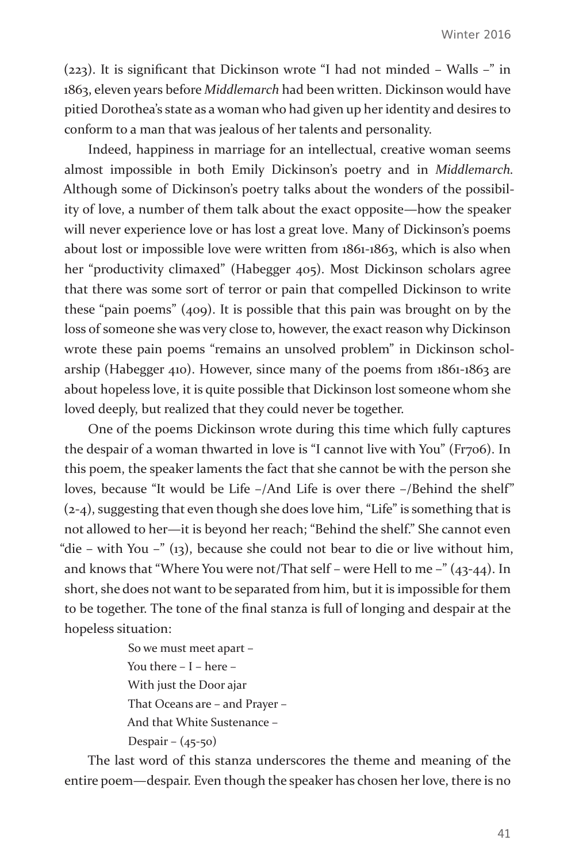(223). It is significant that Dickinson wrote "I had not minded – Walls –" in 1863, eleven years before *Middlemarch* had been written. Dickinson would have pitied Dorothea's state as a woman who had given up her identity and desires to conform to a man that was jealous of her talents and personality.

Indeed, happiness in marriage for an intellectual, creative woman seems almost impossible in both Emily Dickinson's poetry and in *Middlemarch.*  Although some of Dickinson's poetry talks about the wonders of the possibility of love, a number of them talk about the exact opposite—how the speaker will never experience love or has lost a great love. Many of Dickinson's poems about lost or impossible love were written from 1861-1863, which is also when her "productivity climaxed" (Habegger 405). Most Dickinson scholars agree that there was some sort of terror or pain that compelled Dickinson to write these "pain poems" (409). It is possible that this pain was brought on by the loss of someone she was very close to, however, the exact reason why Dickinson wrote these pain poems "remains an unsolved problem" in Dickinson scholarship (Habegger 410). However, since many of the poems from 1861-1863 are about hopeless love, it is quite possible that Dickinson lost someone whom she loved deeply, but realized that they could never be together.

One of the poems Dickinson wrote during this time which fully captures the despair of a woman thwarted in love is "I cannot live with You" (Fr706). In this poem, the speaker laments the fact that she cannot be with the person she loves, because "It would be Life –/And Life is over there –/Behind the shelf" (2-4), suggesting that even though she does love him, "Life" is something that is not allowed to her—it is beyond her reach; "Behind the shelf." She cannot even "die – with You –" (13), because she could not bear to die or live without him, and knows that "Where You were not/That self – were Hell to me –" (43-44). In short, she does not want to be separated from him, but it is impossible for them to be together. The tone of the final stanza is full of longing and despair at the hopeless situation:

> So we must meet apart – You there – I – here – With just the Door ajar That Oceans are – and Prayer – And that White Sustenance – Despair –  $(45-50)$

The last word of this stanza underscores the theme and meaning of the entire poem—despair. Even though the speaker has chosen her love, there is no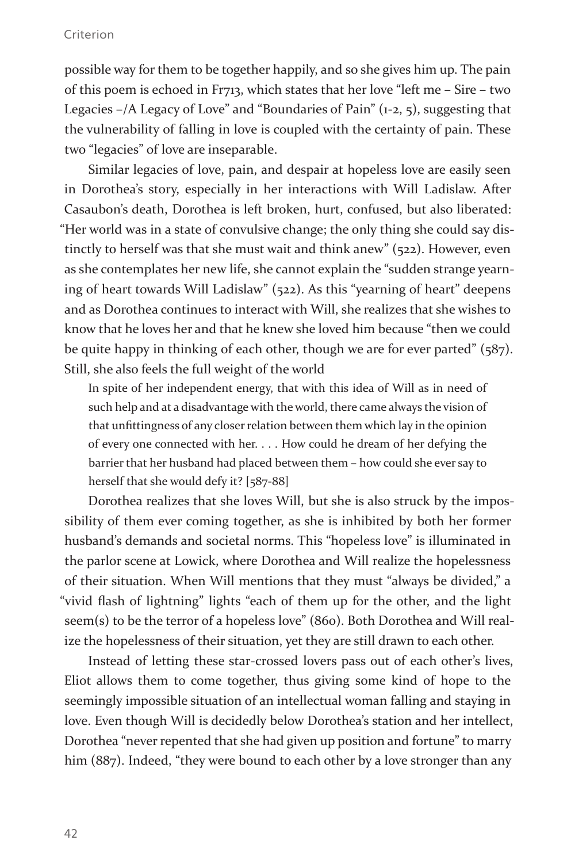#### Criterion

possible way for them to be together happily, and so she gives him up. The pain of this poem is echoed in Fr713, which states that her love "left me – Sire – two Legacies –/A Legacy of Love" and "Boundaries of Pain" (1-2, 5), suggesting that the vulnerability of falling in love is coupled with the certainty of pain. These two "legacies" of love are inseparable.

Similar legacies of love, pain, and despair at hopeless love are easily seen in Dorothea's story, especially in her interactions with Will Ladislaw. After Casaubon's death, Dorothea is left broken, hurt, confused, but also liberated: "Her world was in a state of convulsive change; the only thing she could say distinctly to herself was that she must wait and think anew" (522). However, even as she contemplates her new life, she cannot explain the "sudden strange yearning of heart towards Will Ladislaw" (522). As this "yearning of heart" deepens and as Dorothea continues to interact with Will, she realizes that she wishes to know that he loves her and that he knew she loved him because "then we could be quite happy in thinking of each other, though we are for ever parted" (587). Still, she also feels the full weight of the world

In spite of her independent energy, that with this idea of Will as in need of such help and at a disadvantage with the world, there came always the vision of that unfittingness of any closer relation between them which lay in the opinion of every one connected with her. . . . How could he dream of her defying the barrier that her husband had placed between them – how could she ever say to herself that she would defy it? [587-88]

Dorothea realizes that she loves Will, but she is also struck by the impossibility of them ever coming together, as she is inhibited by both her former husband's demands and societal norms. This "hopeless love" is illuminated in the parlor scene at Lowick, where Dorothea and Will realize the hopelessness of their situation. When Will mentions that they must "always be divided," a "vivid flash of lightning" lights "each of them up for the other, and the light seem(s) to be the terror of a hopeless love" (860). Both Dorothea and Will realize the hopelessness of their situation, yet they are still drawn to each other.

Instead of letting these star-crossed lovers pass out of each other's lives, Eliot allows them to come together, thus giving some kind of hope to the seemingly impossible situation of an intellectual woman falling and staying in love. Even though Will is decidedly below Dorothea's station and her intellect, Dorothea "never repented that she had given up position and fortune" to marry him (887). Indeed, "they were bound to each other by a love stronger than any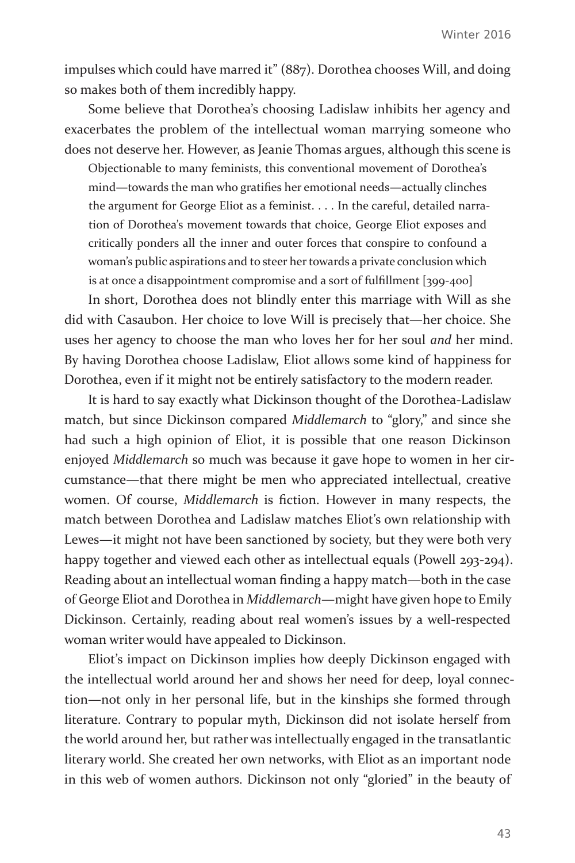impulses which could have marred it" (887). Dorothea chooses Will, and doing so makes both of them incredibly happy.

Some believe that Dorothea's choosing Ladislaw inhibits her agency and exacerbates the problem of the intellectual woman marrying someone who does not deserve her. However, as Jeanie Thomas argues, although this scene is

Objectionable to many feminists, this conventional movement of Dorothea's mind—towards the man who gratifies her emotional needs—actually clinches the argument for George Eliot as a feminist. . . . In the careful, detailed narration of Dorothea's movement towards that choice, George Eliot exposes and critically ponders all the inner and outer forces that conspire to confound a woman's public aspirations and to steer her towards a private conclusion which is at once a disappointment compromise and a sort of fulfillment [399-400]

In short, Dorothea does not blindly enter this marriage with Will as she did with Casaubon. Her choice to love Will is precisely that—her choice. She uses her agency to choose the man who loves her for her soul *and* her mind. By having Dorothea choose Ladislaw, Eliot allows some kind of happiness for Dorothea, even if it might not be entirely satisfactory to the modern reader.

It is hard to say exactly what Dickinson thought of the Dorothea-Ladislaw match, but since Dickinson compared *Middlemarch* to "glory," and since she had such a high opinion of Eliot, it is possible that one reason Dickinson enjoyed *Middlemarch* so much was because it gave hope to women in her circumstance—that there might be men who appreciated intellectual, creative women. Of course, *Middlemarch* is fiction. However in many respects, the match between Dorothea and Ladislaw matches Eliot's own relationship with Lewes—it might not have been sanctioned by society, but they were both very happy together and viewed each other as intellectual equals (Powell 293-294). Reading about an intellectual woman finding a happy match—both in the case of George Eliot and Dorothea in *Middlemarch—*might have given hope to Emily Dickinson. Certainly, reading about real women's issues by a well-respected woman writer would have appealed to Dickinson.

Eliot's impact on Dickinson implies how deeply Dickinson engaged with the intellectual world around her and shows her need for deep, loyal connection—not only in her personal life, but in the kinships she formed through literature. Contrary to popular myth, Dickinson did not isolate herself from the world around her, but rather was intellectually engaged in the transatlantic literary world. She created her own networks, with Eliot as an important node in this web of women authors. Dickinson not only "gloried" in the beauty of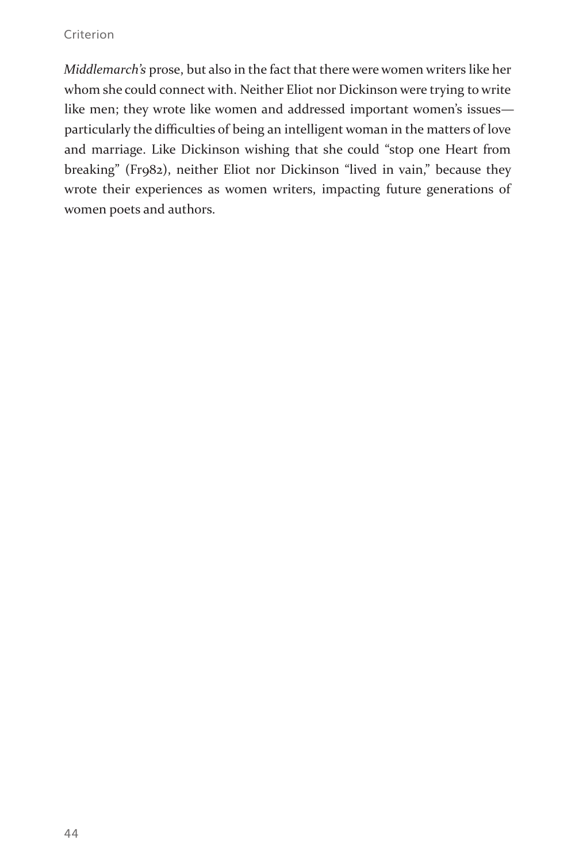#### **Criterion**

*Middlemarch's* prose, but also in the fact that there were women writers like her whom she could connect with. Neither Eliot nor Dickinson were trying to write like men; they wrote like women and addressed important women's issues particularly the difficulties of being an intelligent woman in the matters of love and marriage. Like Dickinson wishing that she could "stop one Heart from breaking" (Fr982), neither Eliot nor Dickinson "lived in vain," because they wrote their experiences as women writers, impacting future generations of women poets and authors.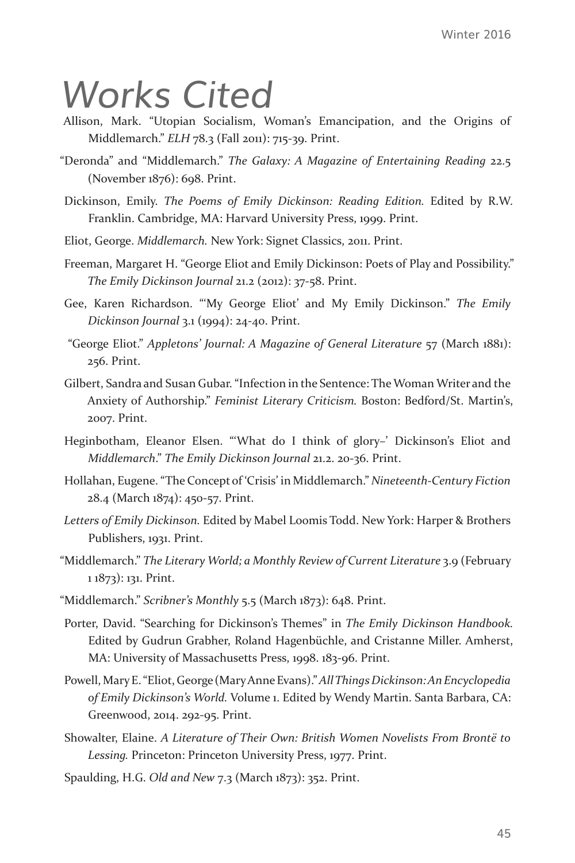## *Works Cited*

- Allison, Mark. "Utopian Socialism, Woman's Emancipation, and the Origins of Middlemarch." *ELH* 78.3 (Fall 2011): 715-39. Print.
- "Deronda" and "Middlemarch." *The Galaxy: A Magazine of Entertaining Reading* 22.5 (November 1876): 698. Print.
- Dickinson, Emily. *The Poems of Emily Dickinson: Reading Edition.* Edited by R.W. Franklin. Cambridge, MA: Harvard University Press, 1999. Print.
- Eliot, George. *Middlemarch.* New York: Signet Classics, 2011. Print.
- Freeman, Margaret H. "George Eliot and Emily Dickinson: Poets of Play and Possibility." *The Emily Dickinson Journal* 21.2 (2012): 37-58. Print.
- Gee, Karen Richardson. "'My George Eliot' and My Emily Dickinson." *The Emily Dickinson Journal* 3.1 (1994): 24-40. Print.
- "George Eliot." *Appletons' Journal: A Magazine of General Literature* 57 (March 1881): 256. Print.
- Gilbert, Sandra and Susan Gubar. "Infection in the Sentence: The Woman Writer and the Anxiety of Authorship." *Feminist Literary Criticism.* Boston: Bedford/St. Martin's, 2007. Print.
- Heginbotham, Eleanor Elsen. "'What do I think of glory-' Dickinson's Eliot and *Middlemarch*." *The Emily Dickinson Journal* 21.2. 20-36. Print.
- Hollahan, Eugene. "The Concept of 'Crisis' in Middlemarch." *Nineteenth-Century Fiction*  28.4 (March 1874): 450-57. Print.
- *Letters of Emily Dickinson.* Edited by Mabel Loomis Todd. New York: Harper & Brothers Publishers, 1931. Print.
- "Middlemarch." *The Literary World; a Monthly Review of Current Literature* 3.9 (February 1 1873): 131. Print.
- "Middlemarch." *Scribner's Monthly* 5.5 (March 1873): 648. Print.
- Porter, David. "Searching for Dickinson's Themes" in *The Emily Dickinson Handbook.*  Edited by Gudrun Grabher, Roland Hagenbüchle, and Cristanne Miller. Amherst, MA: University of Massachusetts Press, 1998. 183-96. Print.
- Powell, Mary E. "Eliot, George (Mary Anne Evans)." *All Things Dickinson: An Encyclopedia of Emily Dickinson's World.* Volume 1. Edited by Wendy Martin. Santa Barbara, CA: Greenwood, 2014. 292-95. Print.
- Showalter, Elaine. *A Literature of Their Own: British Women Novelists From Brontë to Lessing.* Princeton: Princeton University Press, 1977. Print.
- Spaulding, H.G. *Old and New* 7.3 (March 1873): 352. Print.